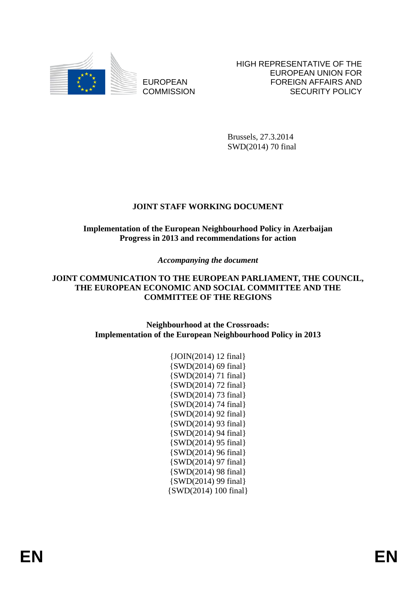

EUROPEAN **COMMISSION**  HIGH REPRESENTATIVE OF THE EUROPEAN UNION FOR FOREIGN AFFAIRS AND SECURITY POLICY

Brussels, 27.3.2014 SWD(2014) 70 final

# **JOINT STAFF WORKING DOCUMENT**

# **Implementation of the European Neighbourhood Policy in Azerbaijan Progress in 2013 and recommendations for action**

# *Accompanying the document*

## **JOINT COMMUNICATION TO THE EUROPEAN PARLIAMENT, THE COUNCIL, THE EUROPEAN ECONOMIC AND SOCIAL COMMITTEE AND THE COMMITTEE OF THE REGIONS**

## **Neighbourhood at the Crossroads: Implementation of the European Neighbourhood Policy in 2013**

| {JOIN(2014) 12 final}     |
|---------------------------|
| $\{SWD(2014) 69 final\}$  |
| {SWD(2014) 71 final}      |
| {SWD(2014) 72 final}      |
| {SWD(2014) 73 final}      |
| {SWD(2014) 74 final}      |
| {SWD(2014) 92 final}      |
| {SWD(2014) 93 final}      |
| $\{SWD(2014) 94 final\}$  |
| {SWD(2014) 95 final}      |
| {SWD(2014) 96 final}      |
| {SWD(2014) 97 final}      |
| $\{SWD(2014) 98 final\}$  |
| {SWD(2014) 99 final}      |
| $\{SWD(2014) 100 final\}$ |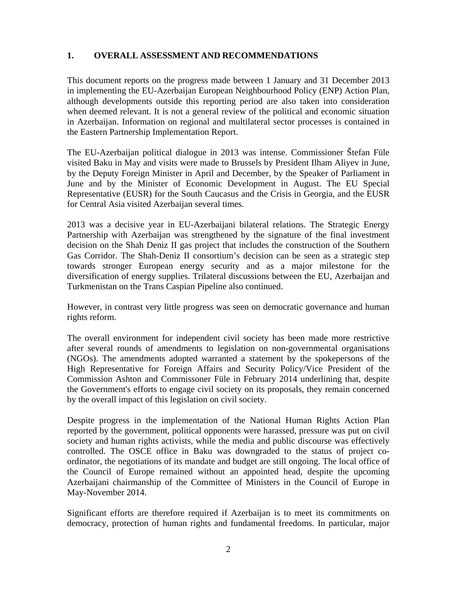## **1. OVERALL ASSESSMENT AND RECOMMENDATIONS**

This document reports on the progress made between 1 January and 31 December 2013 in implementing the EU-Azerbaijan European Neighbourhood Policy (ENP) Action Plan, although developments outside this reporting period are also taken into consideration when deemed relevant. It is not a general review of the political and economic situation in Azerbaijan. Information on regional and multilateral sector processes is contained in the Eastern Partnership Implementation Report.

The EU-Azerbaijan political dialogue in 2013 was intense. Commissioner Štefan Füle visited Baku in May and visits were made to Brussels by President Ilham Aliyev in June, by the Deputy Foreign Minister in April and December, by the Speaker of Parliament in June and by the Minister of Economic Development in August. The EU Special Representative (EUSR) for the South Caucasus and the Crisis in Georgia, and the EUSR for Central Asia visited Azerbaijan several times.

2013 was a decisive year in EU-Azerbaijani bilateral relations. The Strategic Energy Partnership with Azerbaijan was strengthened by the signature of the final investment decision on the Shah Deniz II gas project that includes the construction of the Southern Gas Corridor. The Shah-Deniz II consortium's decision can be seen as a strategic step towards stronger European energy security and as a major milestone for the diversification of energy supplies. Trilateral discussions between the EU, Azerbaijan and Turkmenistan on the Trans Caspian Pipeline also continued.

However, in contrast very little progress was seen on democratic governance and human rights reform.

The overall environment for independent civil society has been made more restrictive after several rounds of amendments to legislation on non-governmental organisations (NGOs). The amendments adopted warranted a statement by the spokepersons of the High Representative for Foreign Affairs and Security Policy/Vice President of the Commission Ashton and Commissoner Füle in February 2014 underlining that, despite the Government's efforts to engage civil society on its proposals, they remain concerned by the overall impact of this legislation on civil society.

Despite progress in the implementation of the National Human Rights Action Plan reported by the government, political opponents were harassed, pressure was put on civil society and human rights activists, while the media and public discourse was effectively controlled. The OSCE office in Baku was downgraded to the status of project coordinator, the negotiations of its mandate and budget are still ongoing. The local office of the Council of Europe remained without an appointed head, despite the upcoming Azerbaijani chairmanship of the Committee of Ministers in the Council of Europe in May-November 2014.

Significant efforts are therefore required if Azerbaijan is to meet its commitments on democracy, protection of human rights and fundamental freedoms. In particular, major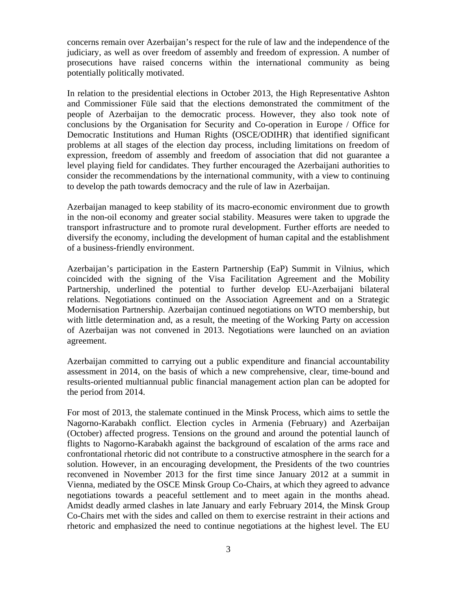concerns remain over Azerbaijan's respect for the rule of law and the independence of the judiciary, as well as over freedom of assembly and freedom of expression. A number of prosecutions have raised concerns within the international community as being potentially politically motivated.

In relation to the presidential elections in October 2013, the High Representative Ashton and Commissioner Füle said that the elections demonstrated the commitment of the people of Azerbaijan to the democratic process. However, they also took note of conclusions by the Organisation for Security and Co-operation in Europe / Office for Democratic Institutions and Human Rights (OSCE/ODIHR) that identified significant problems at all stages of the election day process, including limitations on freedom of expression, freedom of assembly and freedom of association that did not guarantee a level playing field for candidates. They further encouraged the Azerbaijani authorities to consider the recommendations by the international community, with a view to continuing to develop the path towards democracy and the rule of law in Azerbaijan.

Azerbaijan managed to keep stability of its macro-economic environment due to growth in the non-oil economy and greater social stability. Measures were taken to upgrade the transport infrastructure and to promote rural development. Further efforts are needed to diversify the economy, including the development of human capital and the establishment of a business-friendly environment.

Azerbaijan's participation in the Eastern Partnership (EaP) Summit in Vilnius, which coincided with the signing of the Visa Facilitation Agreement and the Mobility Partnership, underlined the potential to further develop EU-Azerbaijani bilateral relations. Negotiations continued on the Association Agreement and on a Strategic Modernisation Partnership. Azerbaijan continued negotiations on WTO membership, but with little determination and, as a result, the meeting of the Working Party on accession of Azerbaijan was not convened in 2013. Negotiations were launched on an aviation agreement.

Azerbaijan committed to carrying out a public expenditure and financial accountability assessment in 2014, on the basis of which a new comprehensive, clear, time-bound and results-oriented multiannual public financial management action plan can be adopted for the period from 2014.

For most of 2013, the stalemate continued in the Minsk Process, which aims to settle the Nagorno-Karabakh conflict. Election cycles in Armenia (February) and Azerbaijan (October) affected progress. Tensions on the ground and around the potential launch of flights to Nagorno-Karabakh against the background of escalation of the arms race and confrontational rhetoric did not contribute to a constructive atmosphere in the search for a solution. However, in an encouraging development, the Presidents of the two countries reconvened in November 2013 for the first time since January 2012 at a summit in Vienna, mediated by the OSCE Minsk Group Co-Chairs, at which they agreed to advance negotiations towards a peaceful settlement and to meet again in the months ahead. Amidst deadly armed clashes in late January and early February 2014, the Minsk Group Co-Chairs met with the sides and called on them to exercise restraint in their actions and rhetoric and emphasized the need to continue negotiations at the highest level. The EU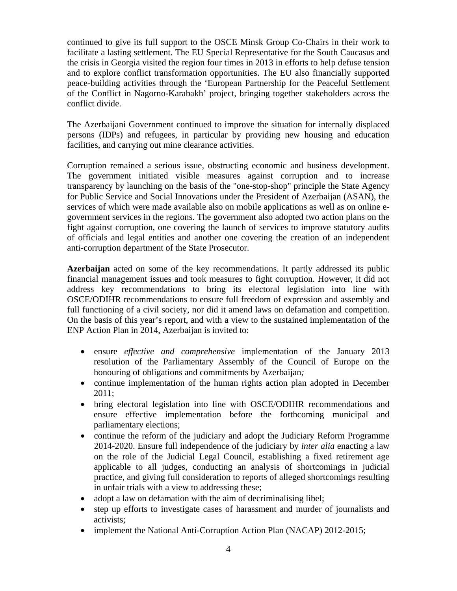continued to give its full support to the OSCE Minsk Group Co-Chairs in their work to facilitate a lasting settlement. The EU Special Representative for the South Caucasus and the crisis in Georgia visited the region four times in 2013 in efforts to help defuse tension and to explore conflict transformation opportunities. The EU also financially supported peace-building activities through the 'European Partnership for the Peaceful Settlement of the Conflict in Nagorno-Karabakh' project, bringing together stakeholders across the conflict divide.

The Azerbaijani Government continued to improve the situation for internally displaced persons (IDPs) and refugees, in particular by providing new housing and education facilities, and carrying out mine clearance activities.

Corruption remained a serious issue, obstructing economic and business development. The government initiated visible measures against corruption and to increase transparency by launching on the basis of the "one-stop-shop" principle the State Agency for Public Service and Social Innovations under the President of Azerbaijan (ASAN), the services of which were made available also on mobile applications as well as on online egovernment services in the regions. The government also adopted two action plans on the fight against corruption, one covering the launch of services to improve statutory audits of officials and legal entities and another one covering the creation of an independent anti-corruption department of the State Prosecutor.

**Azerbaijan** acted on some of the key recommendations. It partly addressed its public financial management issues and took measures to fight corruption. However, it did not address key recommendations to bring its electoral legislation into line with OSCE/ODIHR recommendations to ensure full freedom of expression and assembly and full functioning of a civil society, nor did it amend laws on defamation and competition. On the basis of this year's report, and with a view to the sustained implementation of the ENP Action Plan in 2014, Azerbaijan is invited to:

- ensure *effective and comprehensive* implementation of the January 2013 resolution of the Parliamentary Assembly of the Council of Europe on the honouring of obligations and commitments by Azerbaijan*;*
- continue implementation of the human rights action plan adopted in December 2011;
- bring electoral legislation into line with OSCE/ODIHR recommendations and ensure effective implementation before the forthcoming municipal and parliamentary elections;
- continue the reform of the judiciary and adopt the Judiciary Reform Programme 2014-2020. Ensure full independence of the judiciary by *inter alia* enacting a law on the role of the Judicial Legal Council, establishing a fixed retirement age applicable to all judges, conducting an analysis of shortcomings in judicial practice, and giving full consideration to reports of alleged shortcomings resulting in unfair trials with a view to addressing these;
- adopt a law on defamation with the aim of decriminalising libel;
- step up efforts to investigate cases of harassment and murder of journalists and activists;
- implement the National Anti-Corruption Action Plan (NACAP) 2012-2015;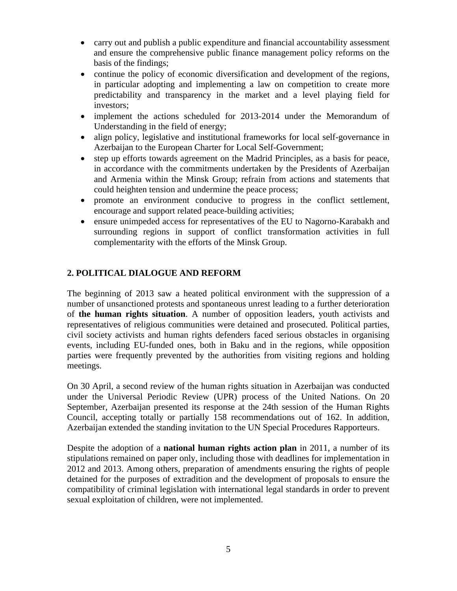- carry out and publish a public expenditure and financial accountability assessment and ensure the comprehensive public finance management policy reforms on the basis of the findings;
- continue the policy of economic diversification and development of the regions, in particular adopting and implementing a law on competition to create more predictability and transparency in the market and a level playing field for investors;
- implement the actions scheduled for 2013-2014 under the Memorandum of Understanding in the field of energy;
- align policy, legislative and institutional frameworks for local self-governance in Azerbaijan to the European Charter for Local Self-Government;
- step up efforts towards agreement on the Madrid Principles, as a basis for peace, in accordance with the commitments undertaken by the Presidents of Azerbaijan and Armenia within the Minsk Group; refrain from actions and statements that could heighten tension and undermine the peace process;
- promote an environment conducive to progress in the conflict settlement, encourage and support related peace-building activities;
- ensure unimpeded access for representatives of the EU to Nagorno-Karabakh and surrounding regions in support of conflict transformation activities in full complementarity with the efforts of the Minsk Group.

# **2. POLITICAL DIALOGUE AND REFORM**

The beginning of 2013 saw a heated political environment with the suppression of a number of unsanctioned protests and spontaneous unrest leading to a further deterioration of **the human rights situation**. A number of opposition leaders, youth activists and representatives of religious communities were detained and prosecuted. Political parties, civil society activists and human rights defenders faced serious obstacles in organising events, including EU-funded ones, both in Baku and in the regions, while opposition parties were frequently prevented by the authorities from visiting regions and holding meetings.

On 30 April, a second review of the human rights situation in Azerbaijan was conducted under the Universal Periodic Review (UPR) process of the United Nations. On 20 September, Azerbaijan presented its response at the 24th session of the Human Rights Council, accepting totally or partially 158 recommendations out of 162. In addition, Azerbaijan extended the standing invitation to the UN Special Procedures Rapporteurs.

Despite the adoption of a **national human rights action plan** in 2011, a number of its stipulations remained on paper only, including those with deadlines for implementation in 2012 and 2013. Among others, preparation of amendments ensuring the rights of people detained for the purposes of extradition and the development of proposals to ensure the compatibility of criminal legislation with international legal standards in order to prevent sexual exploitation of children, were not implemented.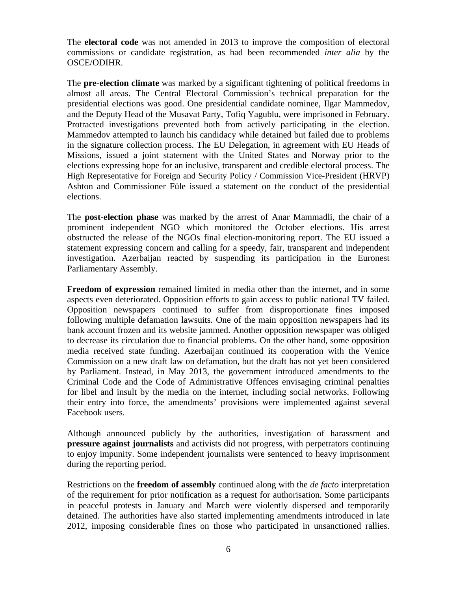The **electoral code** was not amended in 2013 to improve the composition of electoral commissions or candidate registration, as had been recommended *inter alia* by the OSCE/ODIHR.

The **pre-election climate** was marked by a significant tightening of political freedoms in almost all areas. The Central Electoral Commission's technical preparation for the presidential elections was good. One presidential candidate nominee, Ilgar Mammedov, and the Deputy Head of the Musavat Party, Tofiq Yagublu, were imprisoned in February. Protracted investigations prevented both from actively participating in the election. Mammedov attempted to launch his candidacy while detained but failed due to problems in the signature collection process. The EU Delegation, in agreement with EU Heads of Missions, issued a joint statement with the United States and Norway prior to the elections expressing hope for an inclusive, transparent and credible electoral process. The High Representative for Foreign and Security Policy / Commission Vice-President (HRVP) Ashton and Commissioner Füle issued a statement on the conduct of the presidential elections.

The **post-election phase** was marked by the arrest of Anar Mammadli, the chair of a prominent independent NGO which monitored the October elections. His arrest obstructed the release of the NGOs final election-monitoring report. The EU issued a statement expressing concern and calling for a speedy, fair, transparent and independent investigation. Azerbaijan reacted by suspending its participation in the Euronest Parliamentary Assembly.

**Freedom of expression** remained limited in media other than the internet, and in some aspects even deteriorated. Opposition efforts to gain access to public national TV failed. Opposition newspapers continued to suffer from disproportionate fines imposed following multiple defamation lawsuits. One of the main opposition newspapers had its bank account frozen and its website jammed. Another opposition newspaper was obliged to decrease its circulation due to financial problems. On the other hand, some opposition media received state funding. Azerbaijan continued its cooperation with the Venice Commission on a new draft law on defamation, but the draft has not yet been considered by Parliament. Instead, in May 2013, the government introduced amendments to the Criminal Code and the Code of Administrative Offences envisaging criminal penalties for libel and insult by the media on the internet, including social networks. Following their entry into force, the amendments' provisions were implemented against several Facebook users.

Although announced publicly by the authorities, investigation of harassment and **pressure against journalists** and activists did not progress, with perpetrators continuing to enjoy impunity. Some independent journalists were sentenced to heavy imprisonment during the reporting period.

Restrictions on the **freedom of assembly** continued along with the *de facto* interpretation of the requirement for prior notification as a request for authorisation. Some participants in peaceful protests in January and March were violently dispersed and temporarily detained. The authorities have also started implementing amendments introduced in late 2012, imposing considerable fines on those who participated in unsanctioned rallies.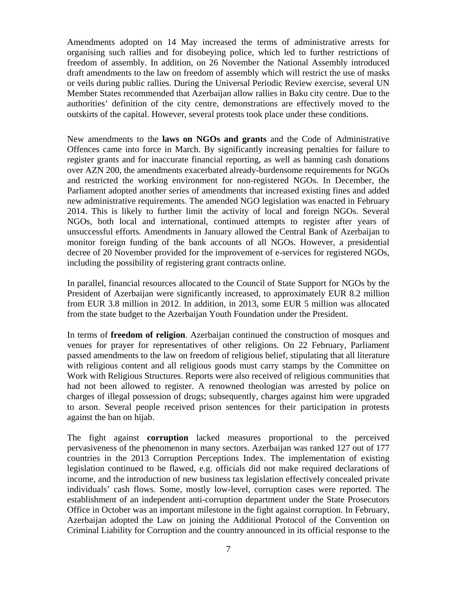Amendments adopted on 14 May increased the terms of administrative arrests for organising such rallies and for disobeying police, which led to further restrictions of freedom of assembly. In addition, on 26 November the National Assembly introduced draft amendments to the law on freedom of assembly which will restrict the use of masks or veils during public rallies. During the Universal Periodic Review exercise, several UN Member States recommended that Azerbaijan allow rallies in Baku city centre. Due to the authorities' definition of the city centre, demonstrations are effectively moved to the outskirts of the capital. However, several protests took place under these conditions.

New amendments to the **laws on NGOs and grants** and the Code of Administrative Offences came into force in March. By significantly increasing penalties for failure to register grants and for inaccurate financial reporting, as well as banning cash donations over AZN 200, the amendments exacerbated already-burdensome requirements for NGOs and restricted the working environment for non-registered NGOs. In December, the Parliament adopted another series of amendments that increased existing fines and added new administrative requirements. The amended NGO legislation was enacted in February 2014. This is likely to further limit the activity of local and foreign NGOs. Several NGOs, both local and international, continued attempts to register after years of unsuccessful efforts*.* Amendments in January allowed the Central Bank of Azerbaijan to monitor foreign funding of the bank accounts of all NGOs. However, a presidential decree of 20 November provided for the improvement of e-services for registered NGOs, including the possibility of registering grant contracts online.

In parallel, financial resources allocated to the Council of State Support for NGOs by the President of Azerbaijan were significantly increased, to approximately EUR 8.2 million from EUR 3.8 million in 2012. In addition, in 2013, some EUR 5 million was allocated from the state budget to the Azerbaijan Youth Foundation under the President.

In terms of **freedom of religion**. Azerbaijan continued the construction of mosques and venues for prayer for representatives of other religions. On 22 February, Parliament passed amendments to the law on freedom of religious belief, stipulating that all literature with religious content and all religious goods must carry stamps by the Committee on Work with Religious Structures. Reports were also received of religious communities that had not been allowed to register. A renowned theologian was arrested by police on charges of illegal possession of drugs; subsequently, charges against him were upgraded to arson. Several people received prison sentences for their participation in protests against the ban on hijab.

The fight against **corruption** lacked measures proportional to the perceived pervasiveness of the phenomenon in many sectors. Azerbaijan was ranked 127 out of 177 countries in the 2013 Corruption Perceptions Index. The implementation of existing legislation continued to be flawed, e.g. officials did not make required declarations of income, and the introduction of new business tax legislation effectively concealed private individuals' cash flows. Some, mostly low-level, corruption cases were reported. The establishment of an independent anti-corruption department under the State Prosecutors Office in October was an important milestone in the fight against corruption. In February, Azerbaijan adopted the Law on joining the Additional Protocol of the Convention on Criminal Liability for Corruption and the country announced in its official response to the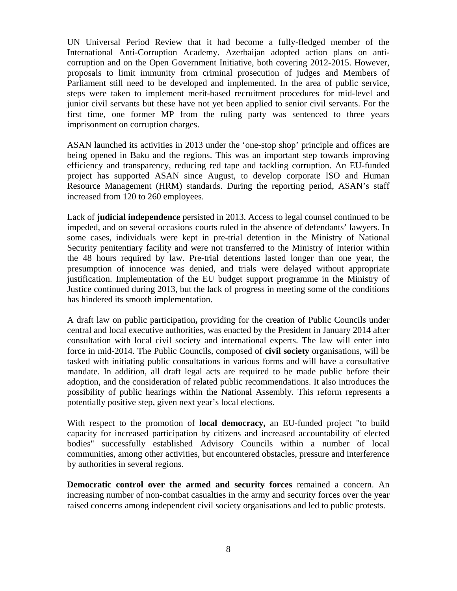UN Universal Period Review that it had become a fully-fledged member of the International Anti-Corruption Academy. Azerbaijan adopted action plans on anticorruption and on the Open Government Initiative, both covering 2012-2015. However, proposals to limit immunity from criminal prosecution of judges and Members of Parliament still need to be developed and implemented. In the area of public service, steps were taken to implement merit-based recruitment procedures for mid-level and junior civil servants but these have not yet been applied to senior civil servants. For the first time, one former MP from the ruling party was sentenced to three years imprisonment on corruption charges.

ASAN launched its activities in 2013 under the 'one-stop shop' principle and offices are being opened in Baku and the regions. This was an important step towards improving efficiency and transparency, reducing red tape and tackling corruption. An EU-funded project has supported ASAN since August, to develop corporate ISO and Human Resource Management (HRM) standards. During the reporting period, ASAN's staff increased from 120 to 260 employees.

Lack of **judicial independence** persisted in 2013. Access to legal counsel continued to be impeded, and on several occasions courts ruled in the absence of defendants' lawyers. In some cases, individuals were kept in pre-trial detention in the Ministry of National Security penitentiary facility and were not transferred to the Ministry of Interior within the 48 hours required by law. Pre-trial detentions lasted longer than one year, the presumption of innocence was denied, and trials were delayed without appropriate justification. Implementation of the EU budget support programme in the Ministry of Justice continued during 2013, but the lack of progress in meeting some of the conditions has hindered its smooth implementation.

A draft law on public participation**,** providing for the creation of Public Councils under central and local executive authorities, was enacted by the President in January 2014 after consultation with local civil society and international experts. The law will enter into force in mid-2014. The Public Councils, composed of **civil society** organisations, will be tasked with initiating public consultations in various forms and will have a consultative mandate. In addition, all draft legal acts are required to be made public before their adoption, and the consideration of related public recommendations. It also introduces the possibility of public hearings within the National Assembly. This reform represents a potentially positive step, given next year's local elections.

With respect to the promotion of **local democracy,** an EU-funded project "to build capacity for increased participation by citizens and increased accountability of elected bodies" successfully established Advisory Councils within a number of local communities, among other activities, but encountered obstacles, pressure and interference by authorities in several regions.

**Democratic control over the armed and security forces** remained a concern. An increasing number of non-combat casualties in the army and security forces over the year raised concerns among independent civil society organisations and led to public protests.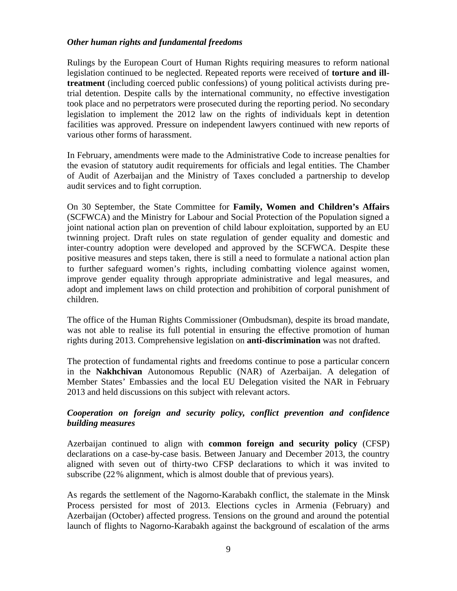### *Other human rights and fundamental freedoms*

Rulings by the European Court of Human Rights requiring measures to reform national legislation continued to be neglected. Repeated reports were received of **torture and illtreatment** (including coerced public confessions) of young political activists during pretrial detention. Despite calls by the international community, no effective investigation took place and no perpetrators were prosecuted during the reporting period. No secondary legislation to implement the 2012 law on the rights of individuals kept in detention facilities was approved. Pressure on independent lawyers continued with new reports of various other forms of harassment.

In February, amendments were made to the Administrative Code to increase penalties for the evasion of statutory audit requirements for officials and legal entities. The Chamber of Audit of Azerbaijan and the Ministry of Taxes concluded a partnership to develop audit services and to fight corruption.

On 30 September, the State Committee for **Family, Women and Children's Affairs** (SCFWCA) and the Ministry for Labour and Social Protection of the Population signed a joint national action plan on prevention of child labour exploitation, supported by an EU twinning project. Draft rules on state regulation of gender equality and domestic and inter-country adoption were developed and approved by the SCFWCA. Despite these positive measures and steps taken, there is still a need to formulate a national action plan to further safeguard women's rights, including combatting violence against women, improve gender equality through appropriate administrative and legal measures, and adopt and implement laws on child protection and prohibition of corporal punishment of children.

The office of the Human Rights Commissioner (Ombudsman), despite its broad mandate, was not able to realise its full potential in ensuring the effective promotion of human rights during 2013. Comprehensive legislation on **anti-discrimination** was not drafted.

The protection of fundamental rights and freedoms continue to pose a particular concern in the **Nakhchivan** Autonomous Republic (NAR) of Azerbaijan. A delegation of Member States' Embassies and the local EU Delegation visited the NAR in February 2013 and held discussions on this subject with relevant actors.

## *Cooperation on foreign and security policy, conflict prevention and confidence building measures*

Azerbaijan continued to align with **common foreign and security policy** (CFSP) declarations on a case-by-case basis. Between January and December 2013, the country aligned with seven out of thirty-two CFSP declarations to which it was invited to subscribe (22% alignment, which is almost double that of previous years).

As regards the settlement of the Nagorno-Karabakh conflict, the stalemate in the Minsk Process persisted for most of 2013. Elections cycles in Armenia (February) and Azerbaijan (October) affected progress. Tensions on the ground and around the potential launch of flights to Nagorno-Karabakh against the background of escalation of the arms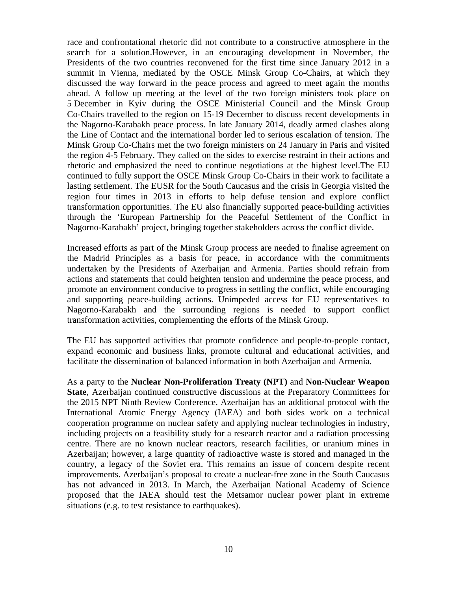race and confrontational rhetoric did not contribute to a constructive atmosphere in the search for a solution.However, in an encouraging development in November, the Presidents of the two countries reconvened for the first time since January 2012 in a summit in Vienna, mediated by the OSCE Minsk Group Co-Chairs, at which they discussed the way forward in the peace process and agreed to meet again the months ahead. A follow up meeting at the level of the two foreign ministers took place on 5 December in Kyiv during the OSCE Ministerial Council and the Minsk Group Co-Chairs travelled to the region on 15-19 December to discuss recent developments in the Nagorno-Karabakh peace process. In late January 2014, deadly armed clashes along the Line of Contact and the international border led to serious escalation of tension. The Minsk Group Co-Chairs met the two foreign ministers on 24 January in Paris and visited the region 4-5 February. They called on the sides to exercise restraint in their actions and rhetoric and emphasized the need to continue negotiations at the highest level.The EU continued to fully support the OSCE Minsk Group Co-Chairs in their work to facilitate a lasting settlement. The EUSR for the South Caucasus and the crisis in Georgia visited the region four times in 2013 in efforts to help defuse tension and explore conflict transformation opportunities. The EU also financially supported peace-building activities through the 'European Partnership for the Peaceful Settlement of the Conflict in Nagorno-Karabakh' project, bringing together stakeholders across the conflict divide.

Increased efforts as part of the Minsk Group process are needed to finalise agreement on the Madrid Principles as a basis for peace, in accordance with the commitments undertaken by the Presidents of Azerbaijan and Armenia. Parties should refrain from actions and statements that could heighten tension and undermine the peace process, and promote an environment conducive to progress in settling the conflict, while encouraging and supporting peace-building actions. Unimpeded access for EU representatives to Nagorno-Karabakh and the surrounding regions is needed to support conflict transformation activities, complementing the efforts of the Minsk Group.

The EU has supported activities that promote confidence and people-to-people contact, expand economic and business links, promote cultural and educational activities, and facilitate the dissemination of balanced information in both Azerbaijan and Armenia.

As a party to the **Nuclear Non-Proliferation Treaty (NPT)** and **Non-Nuclear Weapon State**, Azerbaijan continued constructive discussions at the Preparatory Committees for the 2015 NPT Ninth Review Conference. Azerbaijan has an additional protocol with the International Atomic Energy Agency (IAEA) and both sides work on a technical cooperation programme on nuclear safety and applying nuclear technologies in industry, including projects on a feasibility study for a research reactor and a radiation processing centre. There are no known nuclear reactors, research facilities, or uranium mines in Azerbaijan; however, a large quantity of radioactive waste is stored and managed in the country, a legacy of the Soviet era. This remains an issue of concern despite recent improvements. Azerbaijan's proposal to create a nuclear-free zone in the South Caucasus has not advanced in 2013. In March, the Azerbaijan National Academy of Science proposed that the IAEA should test the Metsamor nuclear power plant in extreme situations (e.g. to test resistance to earthquakes).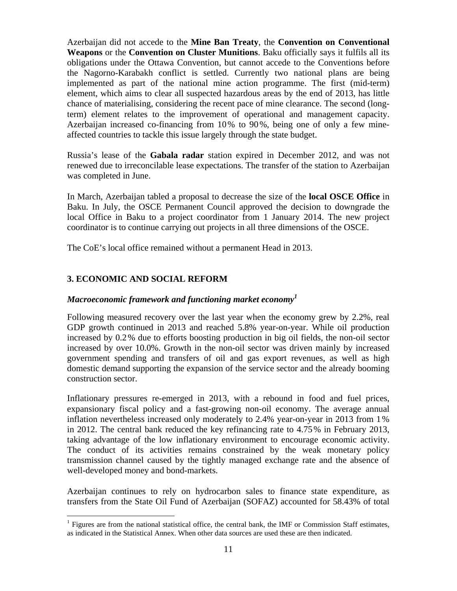Azerbaijan did not accede to the **Mine Ban Treaty**, the **Convention on Conventional Weapons** or the **Convention on Cluster Munitions**. Baku officially says it fulfils all its obligations under the Ottawa Convention, but cannot accede to the Conventions before the Nagorno-Karabakh conflict is settled. Currently two national plans are being implemented as part of the national mine action programme. The first (mid-term) element, which aims to clear all suspected hazardous areas by the end of 2013, has little chance of materialising, considering the recent pace of mine clearance. The second (longterm) element relates to the improvement of operational and management capacity. Azerbaijan increased co-financing from 10% to 90%, being one of only a few mineaffected countries to tackle this issue largely through the state budget.

Russia's lease of the **Gabala radar** station expired in December 2012, and was not renewed due to irreconcilable lease expectations. The transfer of the station to Azerbaijan was completed in June.

In March, Azerbaijan tabled a proposal to decrease the size of the **local OSCE Office** in Baku. In July, the OSCE Permanent Council approved the decision to downgrade the local Office in Baku to a project coordinator from 1 January 2014. The new project coordinator is to continue carrying out projects in all three dimensions of the OSCE.

The CoE's local office remained without a permanent Head in 2013.

# **3. ECONOMIC AND SOCIAL REFORM**

 $\overline{a}$ 

### *Macroeconomic framework and functioning market economy1*

Following measured recovery over the last year when the economy grew by 2.2%, real GDP growth continued in 2013 and reached 5.8% year-on-year. While oil production increased by 0.2% due to efforts boosting production in big oil fields, the non-oil sector increased by over 10.0%. Growth in the non-oil sector was driven mainly by increased government spending and transfers of oil and gas export revenues, as well as high domestic demand supporting the expansion of the service sector and the already booming construction sector.

Inflationary pressures re-emerged in 2013, with a rebound in food and fuel prices, expansionary fiscal policy and a fast-growing non-oil economy. The average annual inflation nevertheless increased only moderately to 2.4% year-on-year in 2013 from 1% in 2012. The central bank reduced the key refinancing rate to 4.75% in February 2013, taking advantage of the low inflationary environment to encourage economic activity. The conduct of its activities remains constrained by the weak monetary policy transmission channel caused by the tightly managed exchange rate and the absence of well-developed money and bond-markets.

Azerbaijan continues to rely on hydrocarbon sales to finance state expenditure, as transfers from the State Oil Fund of Azerbaijan (SOFAZ) accounted for 58.43% of total

<sup>&</sup>lt;sup>1</sup> Figures are from the national statistical office, the central bank, the IMF or Commission Staff estimates, as indicated in the Statistical Annex. When other data sources are used these are then indicated.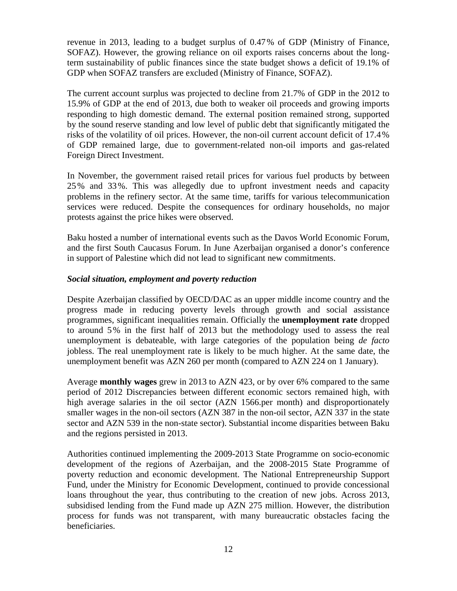revenue in 2013, leading to a budget surplus of 0.47% of GDP (Ministry of Finance, SOFAZ). However, the growing reliance on oil exports raises concerns about the longterm sustainability of public finances since the state budget shows a deficit of 19.1% of GDP when SOFAZ transfers are excluded (Ministry of Finance, SOFAZ).

The current account surplus was projected to decline from 21.7% of GDP in the 2012 to 15.9% of GDP at the end of 2013, due both to weaker oil proceeds and growing imports responding to high domestic demand. The external position remained strong, supported by the sound reserve standing and low level of public debt that significantly mitigated the risks of the volatility of oil prices. However, the non-oil current account deficit of 17.4% of GDP remained large, due to government-related non-oil imports and gas-related Foreign Direct Investment.

In November, the government raised retail prices for various fuel products by between 25% and 33%. This was allegedly due to upfront investment needs and capacity problems in the refinery sector. At the same time, tariffs for various telecommunication services were reduced. Despite the consequences for ordinary households, no major protests against the price hikes were observed.

Baku hosted a number of international events such as the Davos World Economic Forum, and the first South Caucasus Forum. In June Azerbaijan organised a donor's conference in support of Palestine which did not lead to significant new commitments.

### *Social situation, employment and poverty reduction*

Despite Azerbaijan classified by OECD/DAC as an upper middle income country and the progress made in reducing poverty levels through growth and social assistance programmes, significant inequalities remain. Officially the **unemployment rate** dropped to around 5% in the first half of 2013 but the methodology used to assess the real unemployment is debateable, with large categories of the population being *de facto* jobless. The real unemployment rate is likely to be much higher. At the same date, the unemployment benefit was AZN 260 per month (compared to AZN 224 on 1 January).

Average **monthly wages** grew in 2013 to AZN 423, or by over 6% compared to the same period of 2012 Discrepancies between different economic sectors remained high, with high average salaries in the oil sector (AZN 1566.per month) and disproportionately smaller wages in the non-oil sectors (AZN 387 in the non-oil sector, AZN 337 in the state sector and AZN 539 in the non-state sector). Substantial income disparities between Baku and the regions persisted in 2013.

Authorities continued implementing the 2009-2013 State Programme on socio-economic development of the regions of Azerbaijan, and the 2008-2015 State Programme of poverty reduction and economic development. The National Entrepreneurship Support Fund, under the Ministry for Economic Development, continued to provide concessional loans throughout the year, thus contributing to the creation of new jobs. Across 2013, subsidised lending from the Fund made up AZN 275 million. However, the distribution process for funds was not transparent, with many bureaucratic obstacles facing the beneficiaries.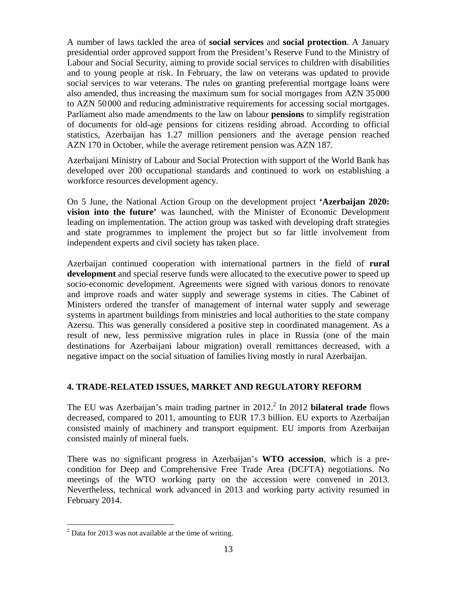A number of laws tackled the area of **social services** and **social protection**. A January presidential order approved support from the President's Reserve Fund to the Ministry of Labour and Social Security, aiming to provide social services to children with disabilities and to young people at risk. In February, the law on veterans was updated to provide social services to war veterans. The rules on granting preferential mortgage loans were also amended, thus increasing the maximum sum for social mortgages from AZN 35000 to AZN 50 000 and reducing administrative requirements for accessing social mortgages. Parliament also made amendments to the law on labour **pensions** to simplify registration of documents for old-age pensions for citizens residing abroad. According to official statistics, Azerbaijan has 1.27 million pensioners and the average pension reached AZN 170 in October, while the average retirement pension was AZN 187.

Azerbaijani Ministry of Labour and Social Protection with support of the World Bank has developed over 200 occupational standards and continued to work on establishing a workforce resources development agency.

On 5 June, the National Action Group on the development project **'Azerbaijan 2020: vision into the future'** was launched, with the Minister of Economic Development leading on implementation. The action group was tasked with developing draft strategies and state programmes to implement the project but so far little involvement from independent experts and civil society has taken place.

Azerbaijan continued cooperation with international partners in the field of **rural development** and special reserve funds were allocated to the executive power to speed up socio-economic development. Agreements were signed with various donors to renovate and improve roads and water supply and sewerage systems in cities. The Cabinet of Ministers ordered the transfer of management of internal water supply and sewerage systems in apartment buildings from ministries and local authorities to the state company Azersu. This was generally considered a positive step in coordinated management. As a result of new, less permissive migration rules in place in Russia (one of the main destinations for Azerbaijani labour migration) overall remittances decreased, with a negative impact on the social situation of families living mostly in rural Azerbaijan.

## **4. TRADE-RELATED ISSUES, MARKET AND REGULATORY REFORM**

The EU was Azerbaijan's main trading partner in 2012.<sup>2</sup> In 2012 **bilateral trade** flows decreased, compared to 2011, amounting to EUR 17.3 billion. EU exports to Azerbaijan consisted mainly of machinery and transport equipment. EU imports from Azerbaijan consisted mainly of mineral fuels.

There was no significant progress in Azerbaijan's **WTO accession**, which is a precondition for Deep and Comprehensive Free Trade Area (DCFTA) negotiations. No meetings of the WTO working party on the accession were convened in 2013. Nevertheless, technical work advanced in 2013 and working party activity resumed in February 2014.

 $\overline{a}$ 

 $2^2$  Data for 2013 was not available at the time of writing.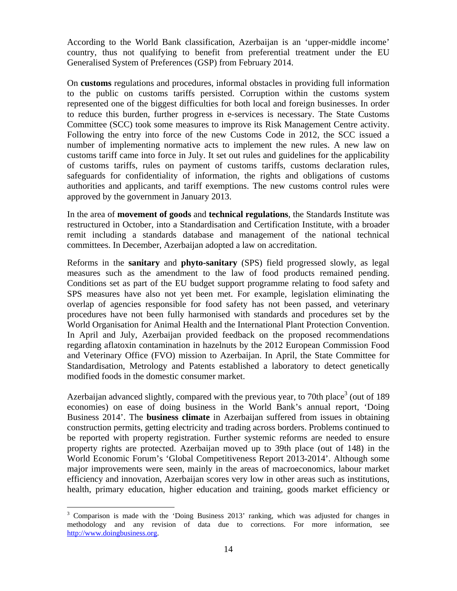According to the World Bank classification, Azerbaijan is an 'upper-middle income' country, thus not qualifying to benefit from preferential treatment under the EU Generalised System of Preferences (GSP) from February 2014.

On **customs** regulations and procedures, informal obstacles in providing full information to the public on customs tariffs persisted. Corruption within the customs system represented one of the biggest difficulties for both local and foreign businesses. In order to reduce this burden, further progress in e-services is necessary. The State Customs Committee (SCC) took some measures to improve its Risk Management Centre activity. Following the entry into force of the new Customs Code in 2012, the SCC issued a number of implementing normative acts to implement the new rules. A new law on customs tariff came into force in July. It set out rules and guidelines for the applicability of customs tariffs, rules on payment of customs tariffs, customs declaration rules, safeguards for confidentiality of information, the rights and obligations of customs authorities and applicants, and tariff exemptions. The new customs control rules were approved by the government in January 2013.

In the area of **movement of goods** and **technical regulations**, the Standards Institute was restructured in October, into a Standardisation and Certification Institute, with a broader remit including a standards database and management of the national technical committees. In December, Azerbaijan adopted a law on accreditation.

Reforms in the **sanitary** and **phyto-sanitary** (SPS) field progressed slowly, as legal measures such as the amendment to the law of food products remained pending. Conditions set as part of the EU budget support programme relating to food safety and SPS measures have also not yet been met. For example, legislation eliminating the overlap of agencies responsible for food safety has not been passed, and veterinary procedures have not been fully harmonised with standards and procedures set by the World Organisation for Animal Health and the International Plant Protection Convention. In April and July, Azerbaijan provided feedback on the proposed recommendations regarding aflatoxin contamination in hazelnuts by the 2012 European Commission Food and Veterinary Office (FVO) mission to Azerbaijan. In April, the State Committee for Standardisation, Metrology and Patents established a laboratory to detect genetically modified foods in the domestic consumer market.

Azerbaijan advanced slightly, compared with the previous year, to 70th place<sup>3</sup> (out of 189 economies) on ease of doing business in the World Bank's annual report, 'Doing Business 2014'. The **business climate** in Azerbaijan suffered from issues in obtaining construction permits, getting electricity and trading across borders. Problems continued to be reported with property registration. Further systemic reforms are needed to ensure property rights are protected. Azerbaijan moved up to 39th place (out of 148) in the World Economic Forum's 'Global Competitiveness Report 2013-2014'. Although some major improvements were seen, mainly in the areas of macroeconomics, labour market efficiency and innovation, Azerbaijan scores very low in other areas such as institutions, health, primary education, higher education and training, goods market efficiency or

 $\overline{a}$ <sup>3</sup> Comparison is made with the 'Doing Business 2013' ranking, which was adjusted for changes in methodology and any revision of data due to corrections. For more information, see [http://www.doingbusiness.org.](http://www.doingbusiness.org/)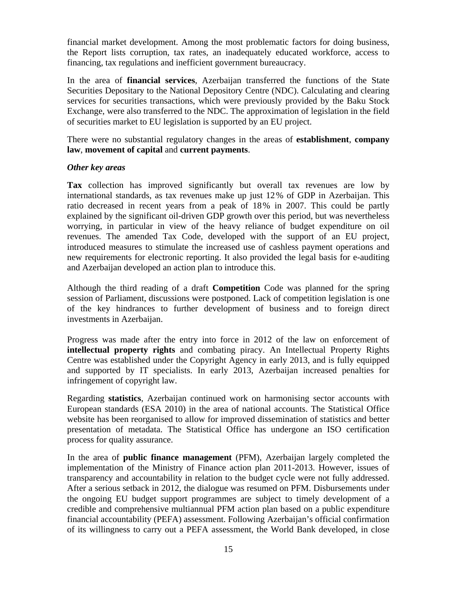financial market development. Among the most problematic factors for doing business, the Report lists corruption, tax rates, an inadequately educated workforce, access to financing, tax regulations and inefficient government bureaucracy.

In the area of **financial services**, Azerbaijan transferred the functions of the State Securities Depositary to the National Depository Centre (NDC). Calculating and clearing services for securities transactions, which were previously provided by the Baku Stock Exchange, were also transferred to the NDC. The approximation of legislation in the field of securities market to EU legislation is supported by an EU project.

There were no substantial regulatory changes in the areas of **establishment**, **company law**, **movement of capital** and **current payments**.

#### *Other key areas*

**Tax** collection has improved significantly but overall tax revenues are low by international standards, as tax revenues make up just 12% of GDP in Azerbaijan. This ratio decreased in recent years from a peak of 18% in 2007. This could be partly explained by the significant oil-driven GDP growth over this period, but was nevertheless worrying, in particular in view of the heavy reliance of budget expenditure on oil revenues. The amended Tax Code, developed with the support of an EU project, introduced measures to stimulate the increased use of cashless payment operations and new requirements for electronic reporting. It also provided the legal basis for e-auditing and Azerbaijan developed an action plan to introduce this.

Although the third reading of a draft **Competition** Code was planned for the spring session of Parliament, discussions were postponed. Lack of competition legislation is one of the key hindrances to further development of business and to foreign direct investments in Azerbaijan.

Progress was made after the entry into force in 2012 of the law on enforcement of **intellectual property rights** and combating piracy. An Intellectual Property Rights Centre was established under the Copyright Agency in early 2013, and is fully equipped and supported by IT specialists. In early 2013, Azerbaijan increased penalties for infringement of copyright law.

Regarding **statistics**, Azerbaijan continued work on harmonising sector accounts with European standards (ESA 2010) in the area of national accounts. The Statistical Office website has been reorganised to allow for improved dissemination of statistics and better presentation of metadata. The Statistical Office has undergone an ISO certification process for quality assurance.

In the area of **public finance management** (PFM), Azerbaijan largely completed the implementation of the Ministry of Finance action plan 2011-2013. However, issues of transparency and accountability in relation to the budget cycle were not fully addressed. After a serious setback in 2012, the dialogue was resumed on PFM. Disbursements under the ongoing EU budget support programmes are subject to timely development of a credible and comprehensive multiannual PFM action plan based on a public expenditure financial accountability (PEFA) assessment. Following Azerbaijan's official confirmation of its willingness to carry out a PEFA assessment, the World Bank developed, in close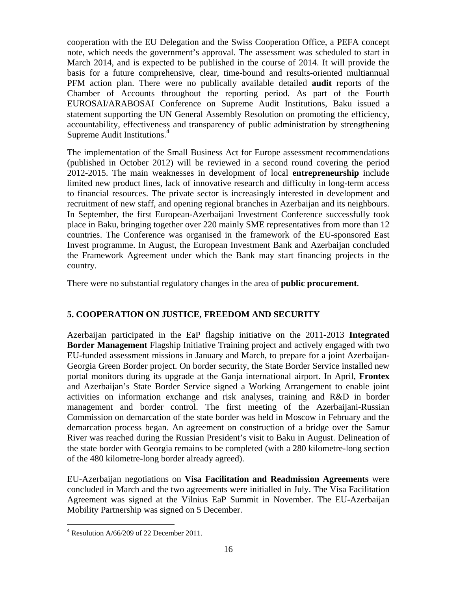cooperation with the EU Delegation and the Swiss Cooperation Office, a PEFA concept note, which needs the government's approval. The assessment was scheduled to start in March 2014, and is expected to be published in the course of 2014. It will provide the basis for a future comprehensive, clear, time-bound and results-oriented multiannual PFM action plan. There were no publically available detailed **audit** reports of the Chamber of Accounts throughout the reporting period. As part of the Fourth EUROSAI/ARABOSAI Conference on Supreme Audit Institutions, Baku issued a statement supporting the UN General Assembly Resolution on promoting the efficiency, accountability, effectiveness and transparency of public administration by strengthening Supreme Audit Institutions.4

The implementation of the Small Business Act for Europe assessment recommendations (published in October 2012) will be reviewed in a second round covering the period 2012-2015. The main weaknesses in development of local **entrepreneurship** include limited new product lines, lack of innovative research and difficulty in long-term access to financial resources. The private sector is increasingly interested in development and recruitment of new staff, and opening regional branches in Azerbaijan and its neighbours. In September, the first European-Azerbaijani Investment Conference successfully took place in Baku, bringing together over 220 mainly SME representatives from more than 12 countries. The Conference was organised in the framework of the EU-sponsored East Invest programme. In August, the European Investment Bank and Azerbaijan concluded the Framework Agreement under which the Bank may start financing projects in the country.

There were no substantial regulatory changes in the area of **public procurement**.

# **5. COOPERATION ON JUSTICE, FREEDOM AND SECURITY**

Azerbaijan participated in the EaP flagship initiative on the 2011-2013 **Integrated Border Management** Flagship Initiative Training project and actively engaged with two EU-funded assessment missions in January and March, to prepare for a joint Azerbaijan-Georgia Green Border project. On border security, the State Border Service installed new portal monitors during its upgrade at the Ganja international airport. In April, **Frontex** and Azerbaijan's State Border Service signed a Working Arrangement to enable joint activities on information exchange and risk analyses, training and R&D in border management and border control. The first meeting of the Azerbaijani-Russian Commission on demarcation of the state border was held in Moscow in February and the demarcation process began. An agreement on construction of a bridge over the Samur River was reached during the Russian President's visit to Baku in August. Delineation of the state border with Georgia remains to be completed (with a 280 kilometre-long section of the 480 kilometre-long border already agreed).

EU-Azerbaijan negotiations on **Visa Facilitation and Readmission Agreements** were concluded in March and the two agreements were initialled in July. The Visa Facilitation Agreement was signed at the Vilnius EaP Summit in November. The EU-Azerbaijan Mobility Partnership was signed on 5 December.

 $\overline{a}$ 

 $4$  Resolution A/66/209 of 22 December 2011.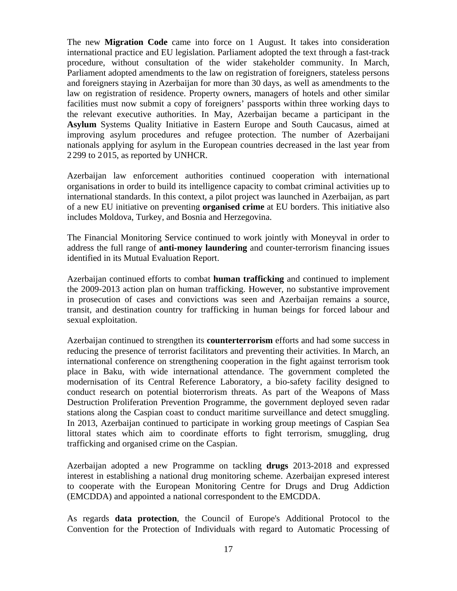The new **Migration Code** came into force on 1 August. It takes into consideration international practice and EU legislation. Parliament adopted the text through a fast-track procedure, without consultation of the wider stakeholder community. In March, Parliament adopted amendments to the law on registration of foreigners, stateless persons and foreigners staying in Azerbaijan for more than 30 days, as well as amendments to the law on registration of residence. Property owners, managers of hotels and other similar facilities must now submit a copy of foreigners' passports within three working days to the relevant executive authorities. In May, Azerbaijan became a participant in the **Asylum** Systems Quality Initiative in Eastern Europe and South Caucasus, aimed at improving asylum procedures and refugee protection. The number of Azerbaijani nationals applying for asylum in the European countries decreased in the last year from 2299 to 2 015, as reported by UNHCR.

Azerbaijan law enforcement authorities continued cooperation with international organisations in order to build its intelligence capacity to combat criminal activities up to international standards. In this context, a pilot project was launched in Azerbaijan, as part of a new EU initiative on preventing **organised crime** at EU borders. This initiative also includes Moldova, Turkey, and Bosnia and Herzegovina.

The Financial Monitoring Service continued to work jointly with Moneyval in order to address the full range of **anti-money laundering** and counter-terrorism financing issues identified in its Mutual Evaluation Report.

Azerbaijan continued efforts to combat **human trafficking** and continued to implement the 2009-2013 action plan on human trafficking. However, no substantive improvement in prosecution of cases and convictions was seen and Azerbaijan remains a source, transit, and destination country for trafficking in human beings for forced labour and sexual exploitation.

Azerbaijan continued to strengthen its **counterterrorism** efforts and had some success in reducing the presence of terrorist facilitators and preventing their activities. In March, an international conference on strengthening cooperation in the fight against terrorism took place in Baku, with wide international attendance. The government completed the modernisation of its Central Reference Laboratory, a bio-safety facility designed to conduct research on potential bioterrorism threats. As part of the Weapons of Mass Destruction Proliferation Prevention Programme, the government deployed seven radar stations along the Caspian coast to conduct maritime surveillance and detect smuggling. In 2013, Azerbaijan continued to participate in working group meetings of Caspian Sea littoral states which aim to coordinate efforts to fight terrorism, smuggling, drug trafficking and organised crime on the Caspian.

Azerbaijan adopted a new Programme on tackling **drugs** 2013-2018 and expressed interest in establishing a national drug monitoring scheme. Azerbaijan expresed interest to cooperate with the European Monitoring Centre for Drugs and Drug Addiction (EMCDDA) and appointed a national correspondent to the EMCDDA.

As regards **data protection**, the Council of Europe's Additional Protocol to the Convention for the Protection of Individuals with regard to Automatic Processing of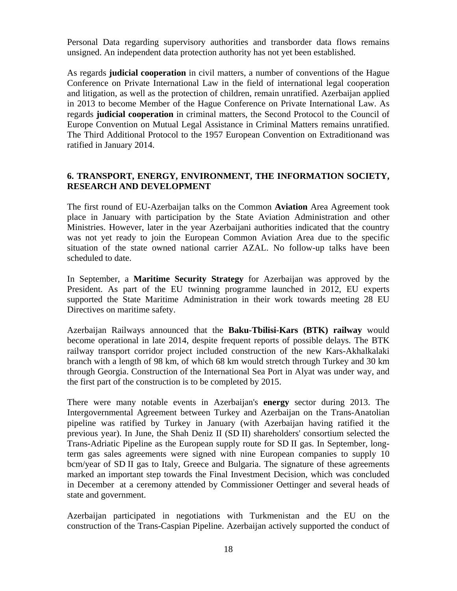Personal Data regarding supervisory authorities and transborder data flows remains unsigned. An independent data protection authority has not yet been established.

As regards **judicial cooperation** in civil matters, a number of conventions of the Hague Conference on Private International Law in the field of international legal cooperation and litigation, as well as the protection of children, remain unratified. Azerbaijan applied in 2013 to become Member of the Hague Conference on Private International Law. As regards **judicial cooperation** in criminal matters, the Second Protocol to the Council of Europe Convention on Mutual Legal Assistance in Criminal Matters remains unratified. The Third Additional Protocol to the 1957 European Convention on Extraditionand was ratified in January 2014.

### **6. TRANSPORT, ENERGY, ENVIRONMENT, THE INFORMATION SOCIETY, RESEARCH AND DEVELOPMENT**

The first round of EU-Azerbaijan talks on the Common **Aviation** Area Agreement took place in January with participation by the State Aviation Administration and other Ministries. However, later in the year Azerbaijani authorities indicated that the country was not yet ready to join the European Common Aviation Area due to the specific situation of the state owned national carrier AZAL. No follow-up talks have been scheduled to date.

In September, a **Maritime Security Strategy** for Azerbaijan was approved by the President. As part of the EU twinning programme launched in 2012, EU experts supported the State Maritime Administration in their work towards meeting 28 EU Directives on maritime safety.

Azerbaijan Railways announced that the **Baku-Tbilisi-Kars (BTK) railway** would become operational in late 2014, despite frequent reports of possible delays. The BTK railway transport corridor project included construction of the new Kars-Akhalkalaki branch with a length of 98 km, of which 68 km would stretch through Turkey and 30 km through Georgia. Construction of the International Sea Port in Alyat was under way, and the first part of the construction is to be completed by 2015.

There were many notable events in Azerbaijan's **energy** sector during 2013. The Intergovernmental Agreement between Turkey and Azerbaijan on the Trans-Anatolian pipeline was ratified by Turkey in January (with Azerbaijan having ratified it the previous year). In June, the Shah Deniz II (SD II) shareholders' consortium selected the Trans-Adriatic Pipeline as the European supply route for SD II gas. In September, longterm gas sales agreements were signed with nine European companies to supply 10 bcm/year of SD II gas to Italy, Greece and Bulgaria. The signature of these agreements marked an important step towards the Final Investment Decision, which was concluded in December at a ceremony attended by Commissioner Oettinger and several heads of state and government.

Azerbaijan participated in negotiations with Turkmenistan and the EU on the construction of the Trans-Caspian Pipeline. Azerbaijan actively supported the conduct of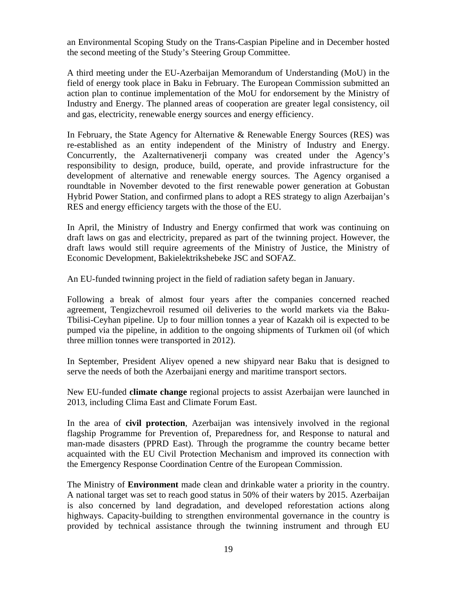an Environmental Scoping Study on the Trans-Caspian Pipeline and in December hosted the second meeting of the Study's Steering Group Committee.

A third meeting under the EU-Azerbaijan Memorandum of Understanding (MoU) in the field of energy took place in Baku in February. The European Commission submitted an action plan to continue implementation of the MoU for endorsement by the Ministry of Industry and Energy. The planned areas of cooperation are greater legal consistency, oil and gas, electricity, renewable energy sources and energy efficiency.

In February, the State Agency for Alternative & Renewable Energy Sources (RES) was re-established as an entity independent of the Ministry of Industry and Energy. Concurrently, the Azalternativenerji company was created under the Agency's responsibility to design, produce, build, operate, and provide infrastructure for the development of alternative and renewable energy sources. The Agency organised a roundtable in November devoted to the first renewable power generation at Gobustan Hybrid Power Station, and confirmed plans to adopt a RES strategy to align Azerbaijan's RES and energy efficiency targets with the those of the EU.

In April, the Ministry of Industry and Energy confirmed that work was continuing on draft laws on gas and electricity, prepared as part of the twinning project. However, the draft laws would still require agreements of the Ministry of Justice, the Ministry of Economic Development, Bakielektrikshebeke JSC and SOFAZ.

An EU-funded twinning project in the field of radiation safety began in January.

Following a break of almost four years after the companies concerned reached agreement, Tengizchevroil resumed oil deliveries to the world markets via the Baku-Tbilisi-Ceyhan pipeline. Up to four million tonnes a year of Kazakh oil is expected to be pumped via the pipeline, in addition to the ongoing shipments of Turkmen oil (of which three million tonnes were transported in 2012).

In September, President Aliyev opened a new shipyard near Baku that is designed to serve the needs of both the Azerbaijani energy and maritime transport sectors.

New EU-funded **climate change** regional projects to assist Azerbaijan were launched in 2013, including Clima East and Climate Forum East.

In the area of **civil protection**, Azerbaijan was intensively involved in the regional flagship Programme for Prevention of, Preparedness for, and Response to natural and man-made disasters (PPRD East). Through the programme the country became better acquainted with the EU Civil Protection Mechanism and improved its connection with the Emergency Response Coordination Centre of the European Commission.

The Ministry of **Environment** made clean and drinkable water a priority in the country. A national target was set to reach good status in 50% of their waters by 2015. Azerbaijan is also concerned by land degradation, and developed reforestation actions along highways. Capacity-building to strengthen environmental governance in the country is provided by technical assistance through the twinning instrument and through EU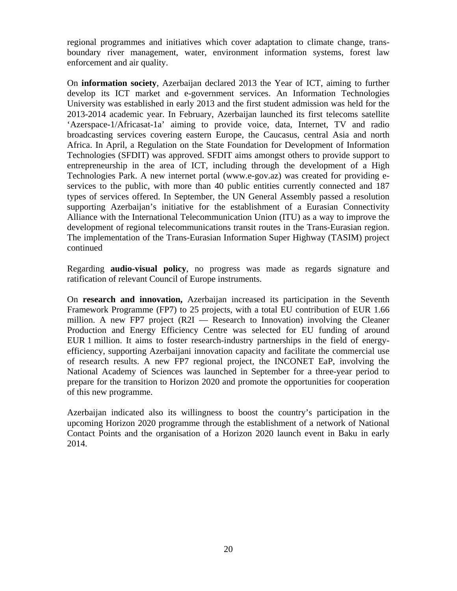regional programmes and initiatives which cover adaptation to climate change, transboundary river management, water, environment information systems, forest law enforcement and air quality.

On **information society**, Azerbaijan declared 2013 the Year of ICT, aiming to further develop its ICT market and e-government services. An Information Technologies University was established in early 2013 and the first student admission was held for the 2013-2014 academic year. In February, Azerbaijan launched its first telecoms satellite 'Azerspace-1/Africasat-1a' aiming to provide voice, data, Internet, TV and radio broadcasting services covering eastern Europe, the Caucasus, central Asia and north Africa. In April, a Regulation on the State Foundation for Development of Information Technologies (SFDIT) was approved. SFDIT aims amongst others to provide support to entrepreneurship in the area of ICT, including through the development of a High Technologies Park. A new internet portal (www.e-gov.az) was created for providing eservices to the public, with more than 40 public entities currently connected and 187 types of services offered. In September, the UN General Assembly passed a resolution supporting Azerbaijan's initiative for the establishment of a Eurasian Connectivity Alliance with the International Telecommunication Union (ITU) as a way to improve the development of regional telecommunications transit routes in the Trans-Eurasian region. The implementation of the Trans-Eurasian Information Super Highway (TASIM) project continued

Regarding **audio-visual policy**, no progress was made as regards signature and ratification of relevant Council of Europe instruments.

On **research and innovation,** Azerbaijan increased its participation in the Seventh Framework Programme (FP7) to 25 projects, with a total EU contribution of EUR 1.66 million. A new FP7 project (R2I — Research to Innovation) involving the Cleaner Production and Energy Efficiency Centre was selected for EU funding of around EUR 1 million. It aims to foster research-industry partnerships in the field of energyefficiency, supporting Azerbaijani innovation capacity and facilitate the commercial use of research results. A new FP7 regional project, the INCONET EaP, involving the National Academy of Sciences was launched in September for a three-year period to prepare for the transition to Horizon 2020 and promote the opportunities for cooperation of this new programme.

Azerbaijan indicated also its willingness to boost the country's participation in the upcoming Horizon 2020 programme through the establishment of a network of National Contact Points and the organisation of a Horizon 2020 launch event in Baku in early 2014.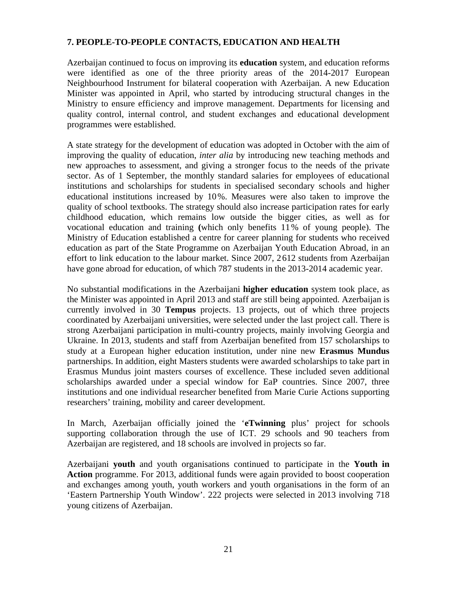### **7. PEOPLE-TO-PEOPLE CONTACTS, EDUCATION AND HEALTH**

Azerbaijan continued to focus on improving its **education** system, and education reforms were identified as one of the three priority areas of the 2014-2017 European Neighbourhood Instrument for bilateral cooperation with Azerbaijan. A new Education Minister was appointed in April, who started by introducing structural changes in the Ministry to ensure efficiency and improve management. Departments for licensing and quality control, internal control, and student exchanges and educational development programmes were established.

A state strategy for the development of education was adopted in October with the aim of improving the quality of education, *inter alia* by introducing new teaching methods and new approaches to assessment, and giving a stronger focus to the needs of the private sector. As of 1 September, the monthly standard salaries for employees of educational institutions and scholarships for students in specialised secondary schools and higher educational institutions increased by 10%. Measures were also taken to improve the quality of school textbooks. The strategy should also increase participation rates for early childhood education, which remains low outside the bigger cities, as well as for vocational education and training **(**which only benefits 11% of young people). The Ministry of Education established a centre for career planning for students who received education as part of the State Programme on Azerbaijan Youth Education Abroad, in an effort to link education to the labour market. Since 2007, 2612 students from Azerbaijan have gone abroad for education, of which 787 students in the 2013-2014 academic year.

No substantial modifications in the Azerbaijani **higher education** system took place, as the Minister was appointed in April 2013 and staff are still being appointed. Azerbaijan is currently involved in 30 **Tempus** projects. 13 projects, out of which three projects coordinated by Azerbaijani universities, were selected under the last project call. There is strong Azerbaijani participation in multi-country projects, mainly involving Georgia and Ukraine. In 2013, students and staff from Azerbaijan benefited from 157 scholarships to study at a European higher education institution, under nine new **Erasmus Mundus** partnerships. In addition, eight Masters students were awarded scholarships to take part in Erasmus Mundus joint masters courses of excellence. These included seven additional scholarships awarded under a special window for EaP countries. Since 2007, three institutions and one individual researcher benefited from Marie Curie Actions supporting researchers' training, mobility and career development.

In March, Azerbaijan officially joined the '**eTwinning** plus' project for schools supporting collaboration through the use of ICT. 29 schools and 90 teachers from Azerbaijan are registered, and 18 schools are involved in projects so far.

Azerbaijani **youth** and youth organisations continued to participate in the **Youth in Action** programme. For 2013, additional funds were again provided to boost cooperation and exchanges among youth, youth workers and youth organisations in the form of an 'Eastern Partnership Youth Window'. 222 projects were selected in 2013 involving 718 young citizens of Azerbaijan.